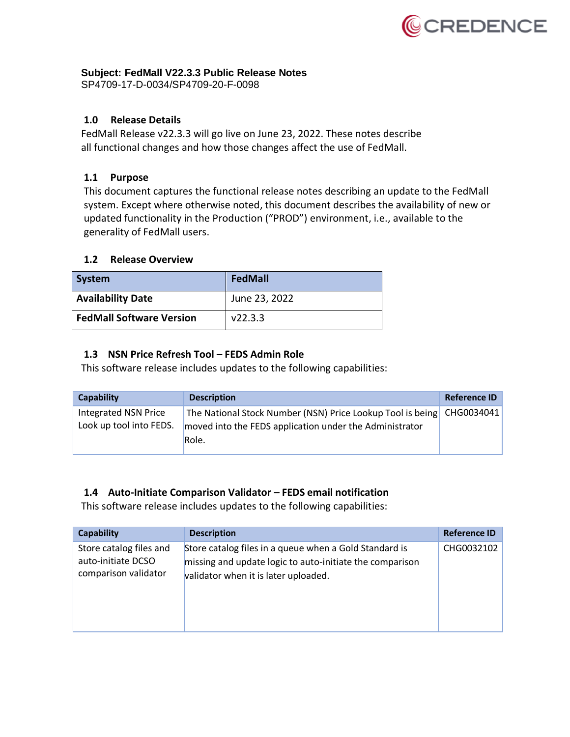

### **Subject: FedMall V22.3.3 Public Release Notes**

SP4709-17-D-0034/SP4709-20-F-0098

# **1.0 Release Details**

FedMall Release v22.3.3 will go live on June 23, 2022. These notes describe all functional changes and how those changes affect the use of FedMall.

# **1.1 Purpose**

This document captures the functional release notes describing an update to the FedMall system. Except where otherwise noted, this document describes the availability of new or updated functionality in the Production ("PROD") environment, i.e., available to the generality of FedMall users.

### **1.2 Release Overview**

| System                          | FedMall       |
|---------------------------------|---------------|
| <b>Availability Date</b>        | June 23, 2022 |
| <b>FedMall Software Version</b> | V22.3.3       |

### **1.3 NSN Price Refresh Tool – FEDS Admin Role**

This software release includes updates to the following capabilities:

| Capability                                             | <b>Description</b>                                                                                                    | <b>Reference ID</b> |
|--------------------------------------------------------|-----------------------------------------------------------------------------------------------------------------------|---------------------|
| <b>Integrated NSN Price</b><br>Look up tool into FEDS. | The National Stock Number (NSN) Price Lookup Tool is being<br>moved into the FEDS application under the Administrator | CHG0034041          |
|                                                        | Role.                                                                                                                 |                     |

### **1.4 Auto-Initiate Comparison Validator – FEDS email notification**

This software release includes updates to the following capabilities:

| Capability                                                            | <b>Description</b>                                                                                                                                         | <b>Reference ID</b> |
|-----------------------------------------------------------------------|------------------------------------------------------------------------------------------------------------------------------------------------------------|---------------------|
| Store catalog files and<br>auto-initiate DCSO<br>comparison validator | Store catalog files in a queue when a Gold Standard is<br>missing and update logic to auto-initiate the comparison<br>validator when it is later uploaded. | CHG0032102          |